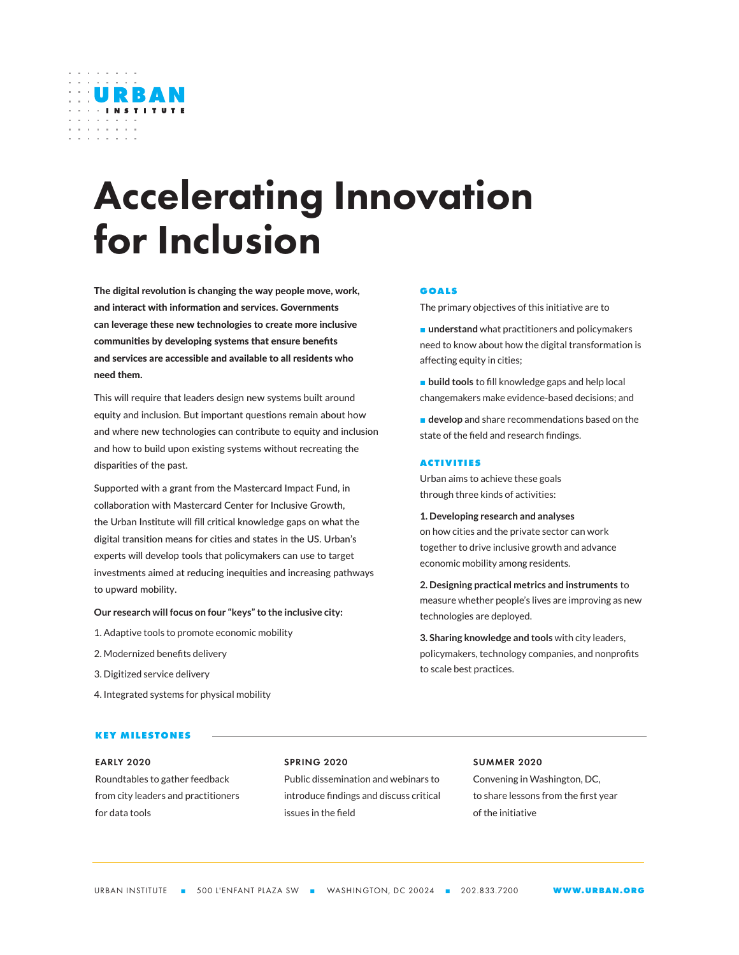

# Accelerating Innovation for Inclusion

The digital revolution is changing the way people move, work, and interact with information and services. Governments can leverage these new technologies to create more inclusive communities by developing systems that ensure benefits and services are accessible and available to all residents who need them.

This will require that leaders design new systems built around equity and inclusion. But important questions remain about how and where new technologies can contribute to equity and inclusion and how to build upon existing systems without recreating the disparities of the past.

Supported with a grant from the Mastercard Impact Fund, in collaboration with Mastercard Center for Inclusive Growth, the Urban Institute will fill critical knowledge gaps on what the digital transition means for cities and states in the US. Urban's experts will develop tools that policymakers can use to target investments aimed at reducing inequities and increasing pathways to upward mobility.

**Our research will focus on four "keys" to the inclusive city:**

- 1. Adaptive tools to promote economic mobility
- 2. Modernized benefits delivery
- 3. Digitized service delivery
- 4. Integrated systems for physical mobility

## **KEY MILESTONES**

## EARLY 2020

Roundtables to gather feedback from city leaders and practitioners for data tools

## SPRING 2020

Public dissemination and webinars to introduce findings and discuss critical issues in the field

## SUMMER 2020

Convening in Washington, DC, to share lessons from the first year of the initiative

#### **GOALS**

The primary objectives of this initiative are to

■ **understand** what practitioners and policymakers need to know about how the digital transformation is affecting equity in cities;

■ **build tools** to fill knowledge gaps and help local changemakers make evidence-based decisions; and

■ **develop** and share recommendations based on the state of the field and research findings.

#### **ACTIVITIES**

Urban aims to achieve these goals through three kinds of activities:

**1. Developing research and analyses**  on how cities and the private sector can work together to drive inclusive growth and advance economic mobility among residents.

**2. Designing practical metrics and instruments** to measure whether people's lives are improving as new technologies are deployed.

**3. Sharing knowledge and tools** with city leaders, policymakers, technology companies, and nonprofits to scale best practices.